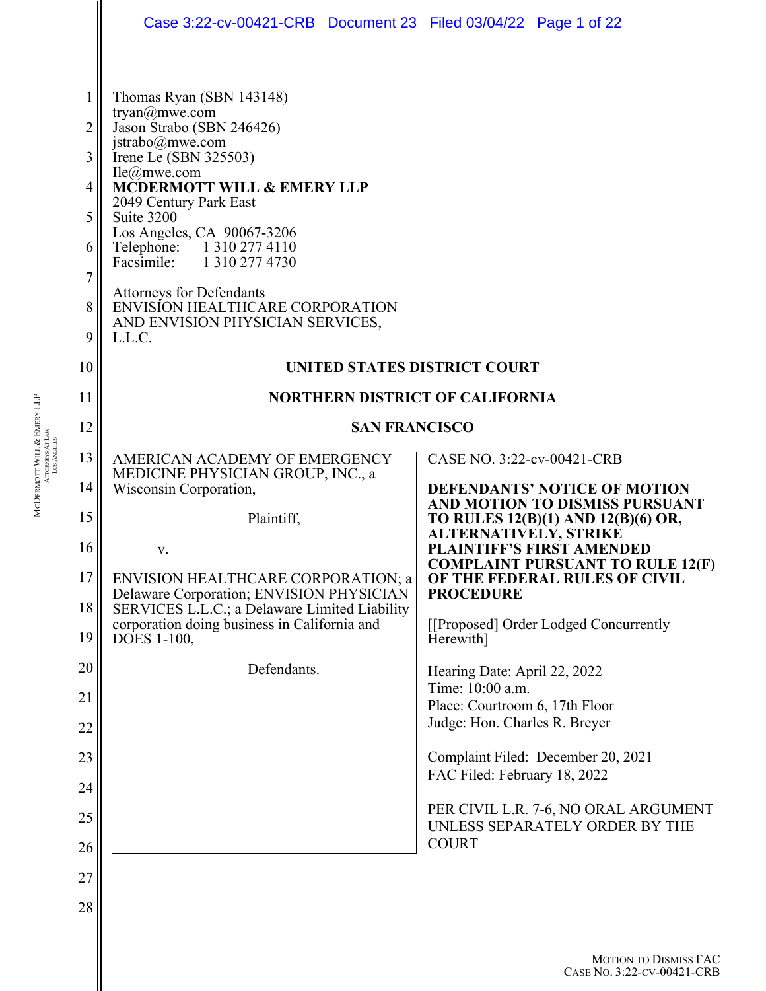|                                                                                        | Case 3:22-cv-00421-CRB  Document 23  Filed 03/04/22  Page 1 of 22                                                                                                                                                                                                                                                                                                                                                                                                                            |                                                                             |
|----------------------------------------------------------------------------------------|----------------------------------------------------------------------------------------------------------------------------------------------------------------------------------------------------------------------------------------------------------------------------------------------------------------------------------------------------------------------------------------------------------------------------------------------------------------------------------------------|-----------------------------------------------------------------------------|
| 1<br>$\overline{2}$<br>$\overline{3}$<br>$\overline{4}$<br>5<br>6<br>7<br>8<br>9<br>10 | Thomas Ryan (SBN 143148)<br>tryan@mwe.com<br>Jason Strabo (SBN 246426)<br>jstrabo@mwe.com<br>Irene Le (SBN 325503)<br>$\text{Ile}(\hat{\omega})$ mwe.com<br><b>MCDERMOTT WILL &amp; EMERY LLP</b><br>2049 Century Park East<br>Suite 3200<br>Los Angeles, CA 90067-3206<br>Telephone: 1 310 277 4110<br>Facsimile: 1 310 277 4730<br><b>Attorneys for Defendants</b><br>ENVISION HEALTHCARE CORPORATION<br>AND ENVISION PHYSICIAN SERVICES,<br>L.L.C.<br><b>UNITED STATES DISTRICT COURT</b> |                                                                             |
| 11                                                                                     | <b>NORTHERN DISTRICT OF CALIFORNIA</b>                                                                                                                                                                                                                                                                                                                                                                                                                                                       |                                                                             |
| 12                                                                                     | <b>SAN FRANCISCO</b>                                                                                                                                                                                                                                                                                                                                                                                                                                                                         |                                                                             |
| 13                                                                                     | AMERICAN ACADEMY OF EMERGENCY                                                                                                                                                                                                                                                                                                                                                                                                                                                                | CASE NO. 3:22-cv-00421-CRB                                                  |
| 14                                                                                     | MEDICINE PHYSICIAN GROUP, INC., a<br>Wisconsin Corporation,                                                                                                                                                                                                                                                                                                                                                                                                                                  | <b>DEFENDANTS' NOTICE OF MOTION</b><br>AND MOTION TO DISMISS PURSUANT       |
| 15                                                                                     | Plaintiff,                                                                                                                                                                                                                                                                                                                                                                                                                                                                                   | TO RULES 12(B)(1) AND 12(B)(6) OR,<br>ALTERNATIVELY, STRIKE                 |
| 16                                                                                     | V.                                                                                                                                                                                                                                                                                                                                                                                                                                                                                           | <b>PLAINTIFF'S FIRST AMENDED</b><br><b>COMPLAINT PURSUANT TO RULE 12(F)</b> |
| 17                                                                                     | ENVISION HEALTHCARE CORPORATION; a<br>Delaware Corporation; ENVISION PHYSICIAN                                                                                                                                                                                                                                                                                                                                                                                                               | OF THE FEDERAL RULES OF CIVIL<br><b>PROCEDURE</b>                           |
| 18<br>19                                                                               | SERVICES L.L.C.; a Delaware Limited Liability<br>corporation doing business in California and<br>DOES 1-100,                                                                                                                                                                                                                                                                                                                                                                                 | [[Proposed] Order Lodged Concurrently<br>Herewith]                          |
| 20                                                                                     | Defendants.                                                                                                                                                                                                                                                                                                                                                                                                                                                                                  | Hearing Date: April 22, 2022                                                |
| 21                                                                                     |                                                                                                                                                                                                                                                                                                                                                                                                                                                                                              | Time: 10:00 a.m.<br>Place: Courtroom 6, 17th Floor                          |
| 22                                                                                     |                                                                                                                                                                                                                                                                                                                                                                                                                                                                                              | Judge: Hon. Charles R. Breyer                                               |
| 23                                                                                     |                                                                                                                                                                                                                                                                                                                                                                                                                                                                                              | Complaint Filed: December 20, 2021<br>FAC Filed: February 18, 2022          |
| 24                                                                                     |                                                                                                                                                                                                                                                                                                                                                                                                                                                                                              |                                                                             |
| 25                                                                                     |                                                                                                                                                                                                                                                                                                                                                                                                                                                                                              | PER CIVIL L.R. 7-6, NO ORAL ARGUMENT<br>UNLESS SEPARATELY ORDER BY THE      |
| 26                                                                                     |                                                                                                                                                                                                                                                                                                                                                                                                                                                                                              | <b>COURT</b>                                                                |
| 27                                                                                     |                                                                                                                                                                                                                                                                                                                                                                                                                                                                                              |                                                                             |
| 28                                                                                     |                                                                                                                                                                                                                                                                                                                                                                                                                                                                                              |                                                                             |
|                                                                                        |                                                                                                                                                                                                                                                                                                                                                                                                                                                                                              | <b>MOTION TO DISMISS FAC</b><br>CASE No. 3:22-CV-00421-CRB                  |

MCDERMOTT WILL &OTT WILL & EMERY LLP<br>Attorneys At Law LOS ANGELES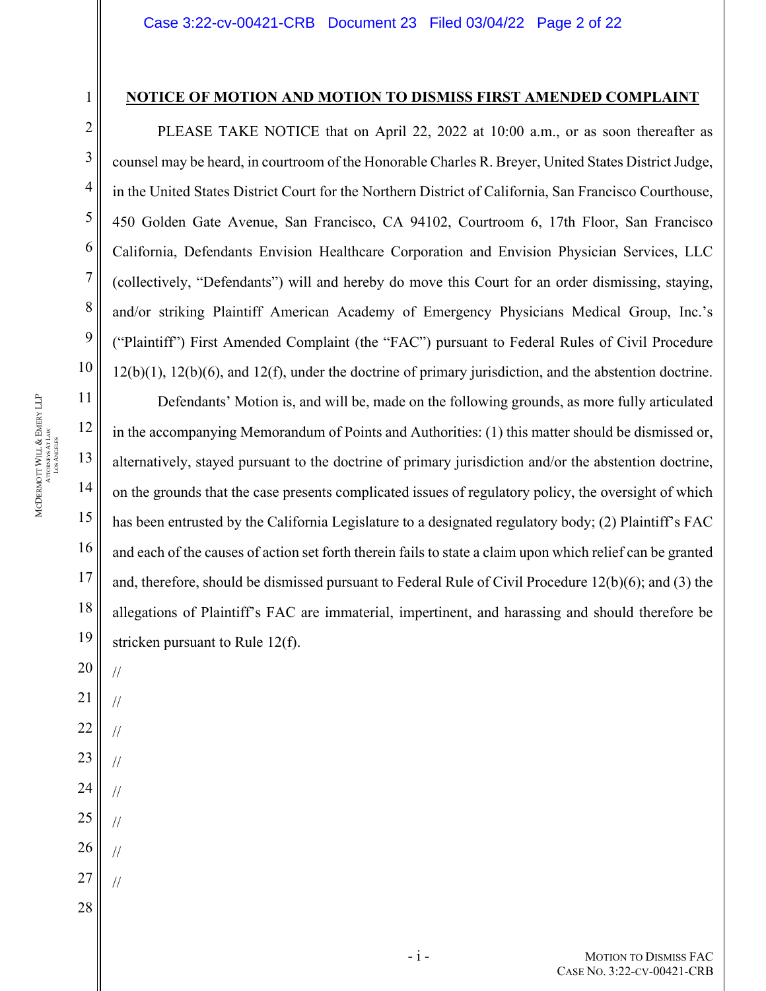### **NOTICE OF MOTION AND MOTION TO DISMISS FIRST AMENDED COMPLAINT**

PLEASE TAKE NOTICE that on April 22, 2022 at 10:00 a.m., or as soon thereafter as counsel may be heard, in courtroom of the Honorable Charles R. Breyer, United States District Judge, in the United States District Court for the Northern District of California, San Francisco Courthouse, 450 Golden Gate Avenue, San Francisco, CA 94102, Courtroom 6, 17th Floor, San Francisco California, Defendants Envision Healthcare Corporation and Envision Physician Services, LLC (collectively, "Defendants") will and hereby do move this Court for an order dismissing, staying, and/or striking Plaintiff American Academy of Emergency Physicians Medical Group, Inc.'s ("Plaintiff") First Amended Complaint (the "FAC") pursuant to Federal Rules of Civil Procedure 12(b)(1), 12(b)(6), and 12(f), under the doctrine of primary jurisdiction, and the abstention doctrine.

Defendants' Motion is, and will be, made on the following grounds, as more fully articulated in the accompanying Memorandum of Points and Authorities: (1) this matter should be dismissed or, alternatively, stayed pursuant to the doctrine of primary jurisdiction and/or the abstention doctrine, on the grounds that the case presents complicated issues of regulatory policy, the oversight of which has been entrusted by the California Legislature to a designated regulatory body; (2) Plaintiff's FAC and each of the causes of action set forth therein fails to state a claim upon which relief can be granted and, therefore, should be dismissed pursuant to Federal Rule of Civil Procedure 12(b)(6); and (3) the allegations of Plaintiff's FAC are immaterial, impertinent, and harassing and should therefore be stricken pursuant to Rule 12(f).

MCDERMOTT WILL &OTT WILL & EMERY LLP<br>Attorneys At Law LOS ANGELES

14

15

16

//

//

//

//

//

//

//

//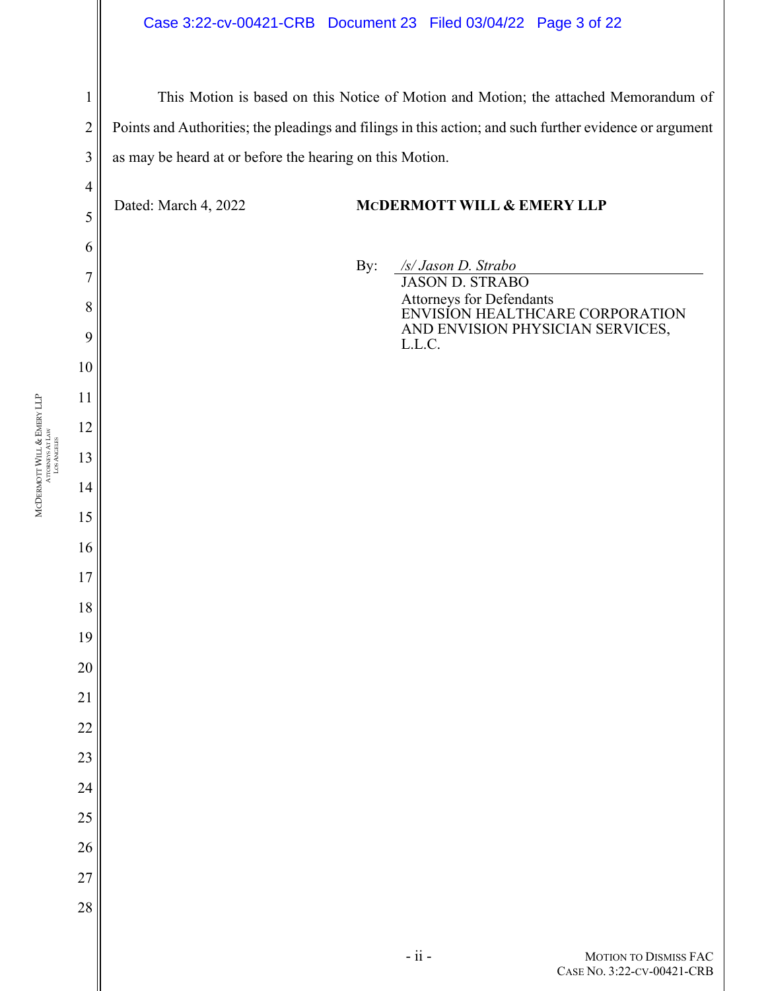## Case 3:22-cv-00421-CRB Document 23 Filed 03/04/22 Page 3 of 22

This Motion is based on this Notice of Motion and Motion; the attached Memorandum of Points and Authorities; the pleadings and filings in this action; and such further evidence or argument as may be heard at or before the hearing on this Motion.

## Dated: March 4, 2022 **MCDERMOTT WILL & EMERY LLP**

By: */s/ Jason D. Strabo*  JASON D. STRABO Attorneys for Defendants ENVISION HEALTHCARE CORPORATION AND ENVISION PHYSICIAN SERVICES, L.L.C.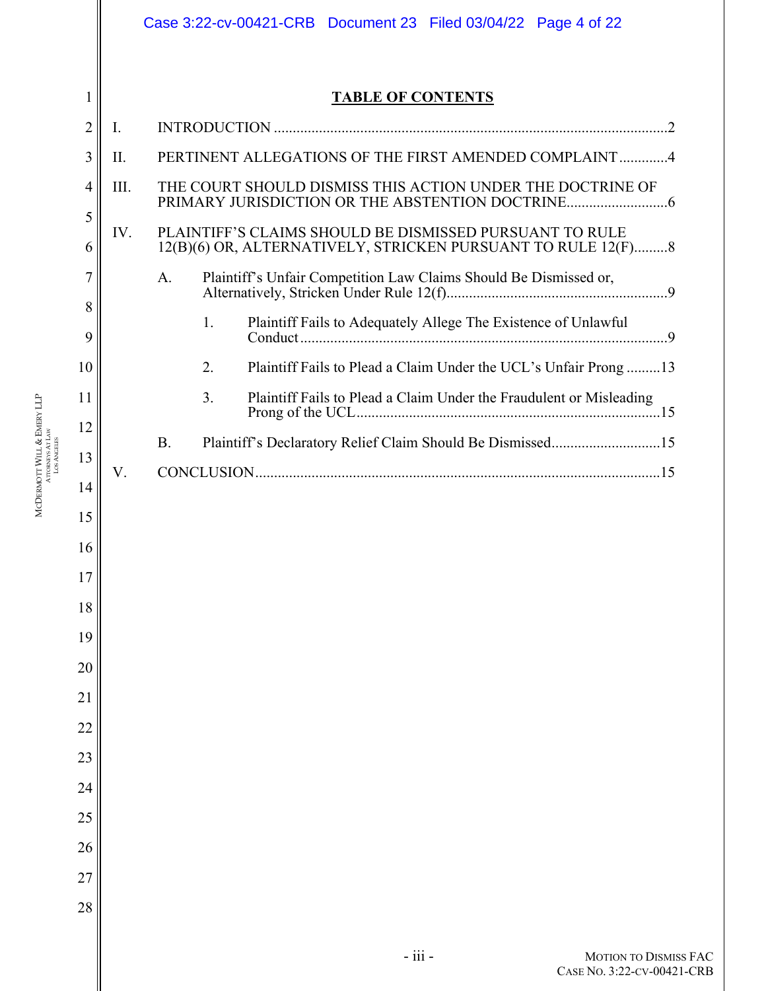|          |      | Case 3:22-cv-00421-CRB Document 23 Filed 03/04/22 Page 4 of 22                                                          |  |
|----------|------|-------------------------------------------------------------------------------------------------------------------------|--|
|          |      |                                                                                                                         |  |
| 1        |      | <b>TABLE OF CONTENTS</b>                                                                                                |  |
| 2        | Ι.   |                                                                                                                         |  |
| 3        | II.  | PERTINENT ALLEGATIONS OF THE FIRST AMENDED COMPLAINT4                                                                   |  |
| 4        | III. | THE COURT SHOULD DISMISS THIS ACTION UNDER THE DOCTRINE OF                                                              |  |
| 5<br>6   | IV.  | PLAINTIFF'S CLAIMS SHOULD BE DISMISSED PURSUANT TO RULE<br>12(B)(6) OR, ALTERNATIVELY, STRICKEN PURSUANT TO RULE 12(F)8 |  |
| 7        |      | Plaintiff's Unfair Competition Law Claims Should Be Dismissed or,<br>A.                                                 |  |
| 8        |      |                                                                                                                         |  |
| 9        |      | 1.                                                                                                                      |  |
| 10       |      | 2.<br>Plaintiff Fails to Plead a Claim Under the UCL's Unfair Prong  13                                                 |  |
| 11       |      | 3.<br>Plaintiff Fails to Plead a Claim Under the Fraudulent or Misleading                                               |  |
| 12       |      | <b>B.</b><br>Plaintiff's Declaratory Relief Claim Should Be Dismissed15                                                 |  |
| 13       | V.   |                                                                                                                         |  |
| 14       |      |                                                                                                                         |  |
| 15       |      |                                                                                                                         |  |
| 16       |      |                                                                                                                         |  |
| 17       |      |                                                                                                                         |  |
| 18<br>19 |      |                                                                                                                         |  |
| 20       |      |                                                                                                                         |  |
| 21       |      |                                                                                                                         |  |
| 22       |      |                                                                                                                         |  |
| 23       |      |                                                                                                                         |  |
| 24       |      |                                                                                                                         |  |
| 25       |      |                                                                                                                         |  |
| 26       |      |                                                                                                                         |  |
| 27       |      |                                                                                                                         |  |
| 28       |      |                                                                                                                         |  |
|          |      | $-$ iii $-$<br>MOTION TO DISMISS FAC<br>CASE No. 3:22-CV-00421-CRB                                                      |  |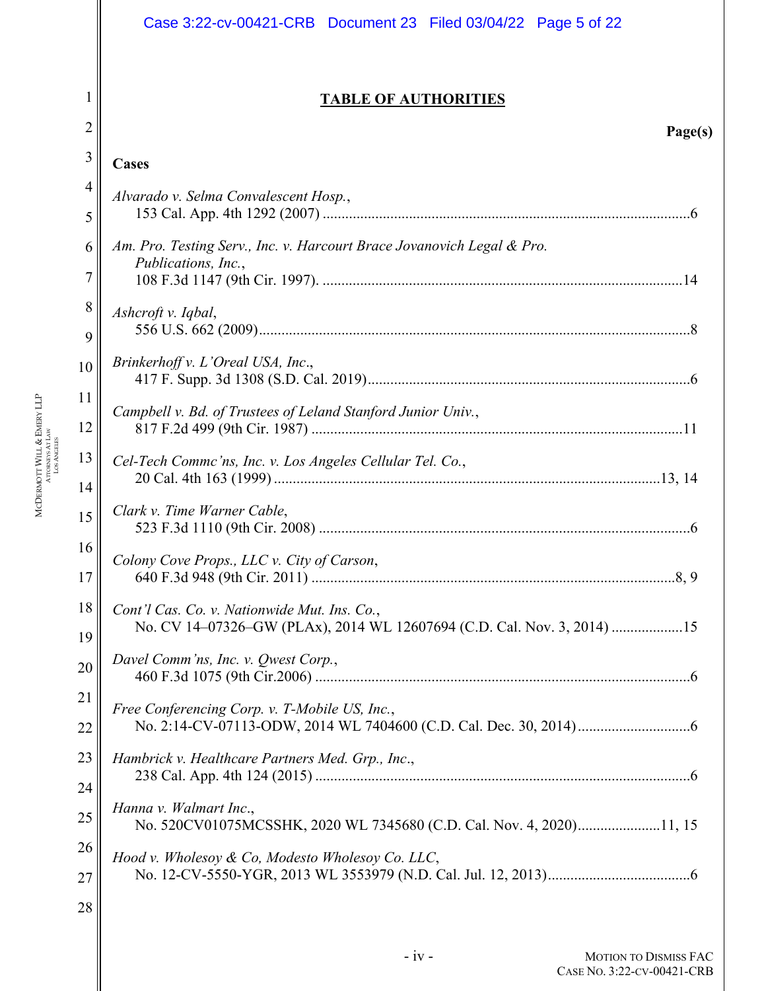|                     | Case 3:22-cv-00421-CRB Document 23 Filed 03/04/22 Page 5 of 22                                                          |
|---------------------|-------------------------------------------------------------------------------------------------------------------------|
| 1<br>$\overline{2}$ | <b>TABLE OF AUTHORITIES</b><br>Page(s)                                                                                  |
| 3                   | Cases                                                                                                                   |
| $\overline{4}$      | Alvarado v. Selma Convalescent Hosp.,                                                                                   |
| 5                   |                                                                                                                         |
| 6<br>7              | Am. Pro. Testing Serv., Inc. v. Harcourt Brace Jovanovich Legal & Pro.<br>Publications, Inc.,                           |
| 8<br>9              | Ashcroft v. Iqbal,                                                                                                      |
| 10                  | Brinkerhoff v. L'Oreal USA, Inc.,                                                                                       |
| 11<br>12            | Campbell v. Bd. of Trustees of Leland Stanford Junior Univ.,                                                            |
| 13<br>14            | Cel-Tech Commc'ns, Inc. v. Los Angeles Cellular Tel. Co.,                                                               |
| 15                  | Clark v. Time Warner Cable,                                                                                             |
| 16<br>17            | Colony Cove Props., LLC v. City of Carson,                                                                              |
| 18<br>19            | Cont'l Cas. Co. v. Nationwide Mut. Ins. Co.,<br>No. CV 14-07326-GW (PLAx), 2014 WL 12607694 (C.D. Cal. Nov. 3, 2014) 15 |
| 20                  | Davel Comm'ns, Inc. v. Qwest Corp.,                                                                                     |
| 21<br>22            | Free Conferencing Corp. v. T-Mobile US, Inc.,                                                                           |
| 23                  | Hambrick v. Healthcare Partners Med. Grp., Inc.,                                                                        |
| 24<br>25            | Hanna v. Walmart Inc.,<br>No. 520CV01075MCSSHK, 2020 WL 7345680 (C.D. Cal. Nov. 4, 2020)11, 15                          |
| 26<br>27            | Hood v. Wholesoy & Co, Modesto Wholesoy Co. LLC,                                                                        |
| 28                  |                                                                                                                         |
|                     |                                                                                                                         |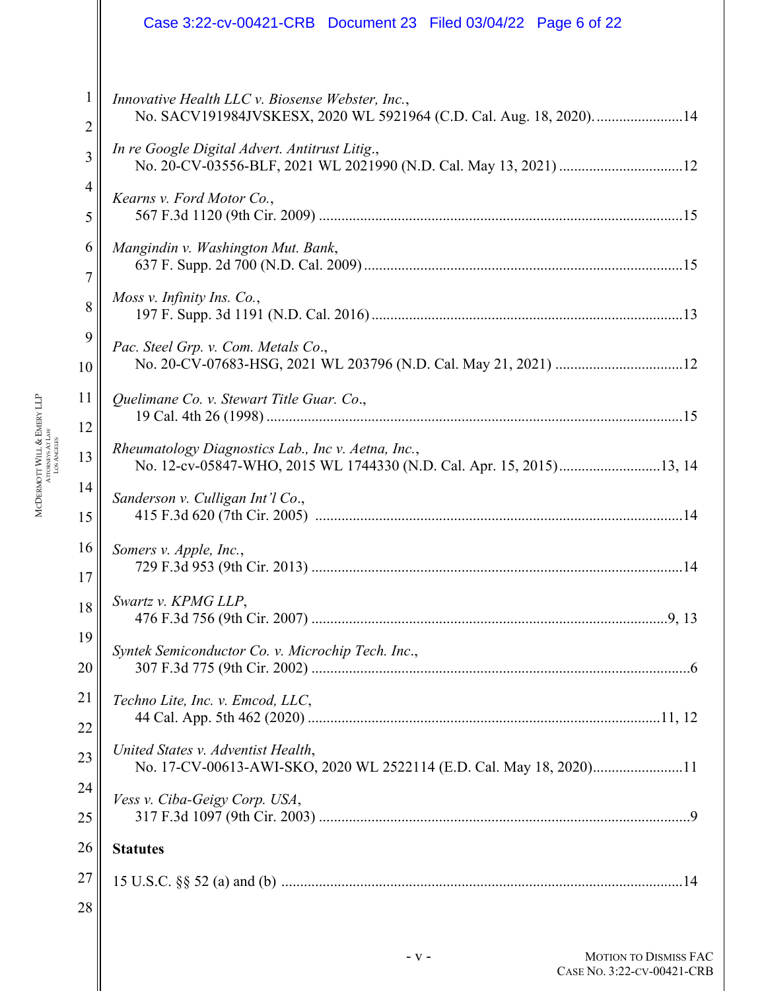|                | Case 3:22-cv-00421-CRB  Document 23  Filed 03/04/22  Page 6 of 22                                                          |
|----------------|----------------------------------------------------------------------------------------------------------------------------|
| 1              | Innovative Health LLC v. Biosense Webster, Inc.,                                                                           |
| $\overline{2}$ | No. SACV191984JVSKESX, 2020 WL 5921964 (C.D. Cal. Aug. 18, 2020). 14                                                       |
| 3              | In re Google Digital Advert. Antitrust Litig.,                                                                             |
| $\overline{4}$ | Kearns v. Ford Motor Co.,                                                                                                  |
| 5              |                                                                                                                            |
| 6              | Mangindin v. Washington Mut. Bank,                                                                                         |
| 7              |                                                                                                                            |
| 8              | Moss v. Infinity Ins. Co.,                                                                                                 |
| 9              | Pac. Steel Grp. v. Com. Metals Co.,                                                                                        |
| 10             |                                                                                                                            |
| 11             | Quelimane Co. v. Stewart Title Guar. Co.,                                                                                  |
| 12             |                                                                                                                            |
| 13             | Rheumatology Diagnostics Lab., Inc v. Aetna, Inc.,<br>No. 12-cv-05847-WHO, 2015 WL 1744330 (N.D. Cal. Apr. 15, 2015)13, 14 |
| 14             | Sanderson v. Culligan Int'l Co.,                                                                                           |
| 15             |                                                                                                                            |
| 16             | Somers v. Apple, Inc.,                                                                                                     |
| 17             | 729 F.3d 953 (9th Cir. 2013) ………………………………………………………………………………………14                                                           |
| 18             | Swartz v. KPMG LLP,                                                                                                        |
| 19             | Syntek Semiconductor Co. v. Microchip Tech. Inc.,                                                                          |
| 20             |                                                                                                                            |
| 21             | Techno Lite, Inc. v. Emcod, LLC,                                                                                           |
| 22             |                                                                                                                            |
| 23             | United States v. Adventist Health,<br>No. 17-CV-00613-AWI-SKO, 2020 WL 2522114 (E.D. Cal. May 18, 2020)11                  |
| 24             | Vess v. Ciba-Geigy Corp. USA,                                                                                              |
| 25             |                                                                                                                            |
| 26             | <b>Statutes</b>                                                                                                            |
| 27             |                                                                                                                            |
| 28             |                                                                                                                            |

- **v** - **MOTION TO DISMISS FAC** CASE NO. 3:22-CV-00421-CRB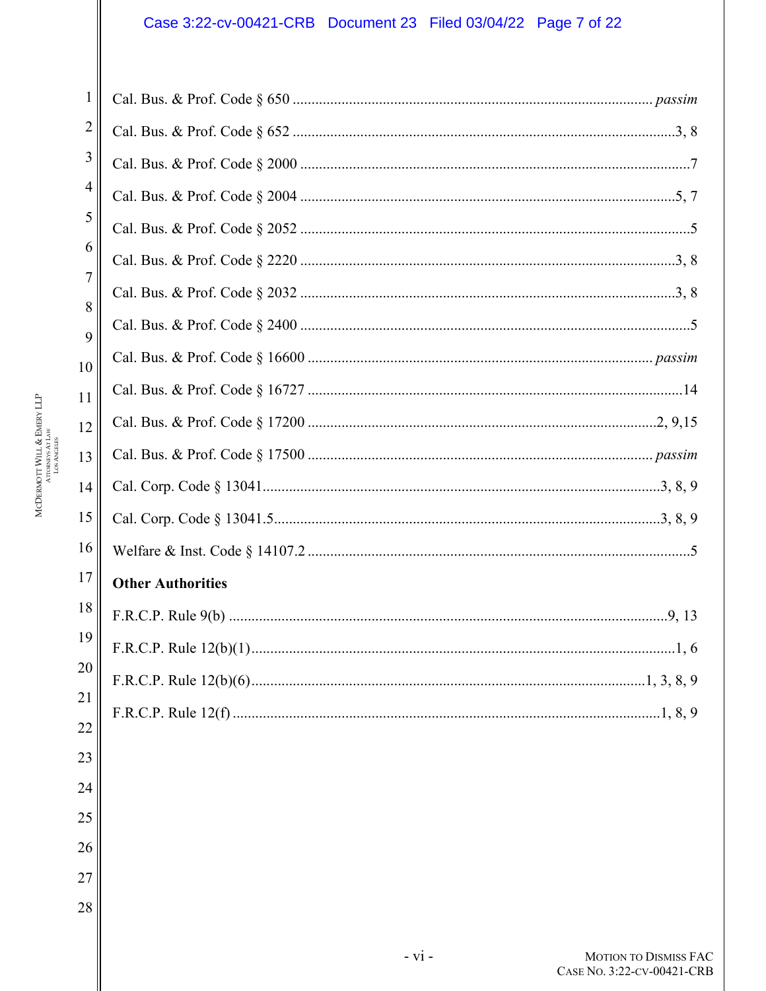# Case 3:22-cv-00421-CRB Document 23 Filed 03/04/22 Page 7 of 22

 $23$ 

24

25

26

27

| 1      |                          |
|--------|--------------------------|
| 2      |                          |
| 3      |                          |
| 4      |                          |
| 5      |                          |
| 6      |                          |
| 7      |                          |
| 8<br>9 |                          |
| 10     |                          |
| 11     |                          |
| 12     |                          |
| 13     |                          |
| 14     |                          |
| 15     |                          |
| 16     |                          |
| 17     | <b>Other Authorities</b> |
| 18     |                          |
| 19     | .1, 6                    |
| 20     |                          |
| 21     |                          |
| 22     |                          |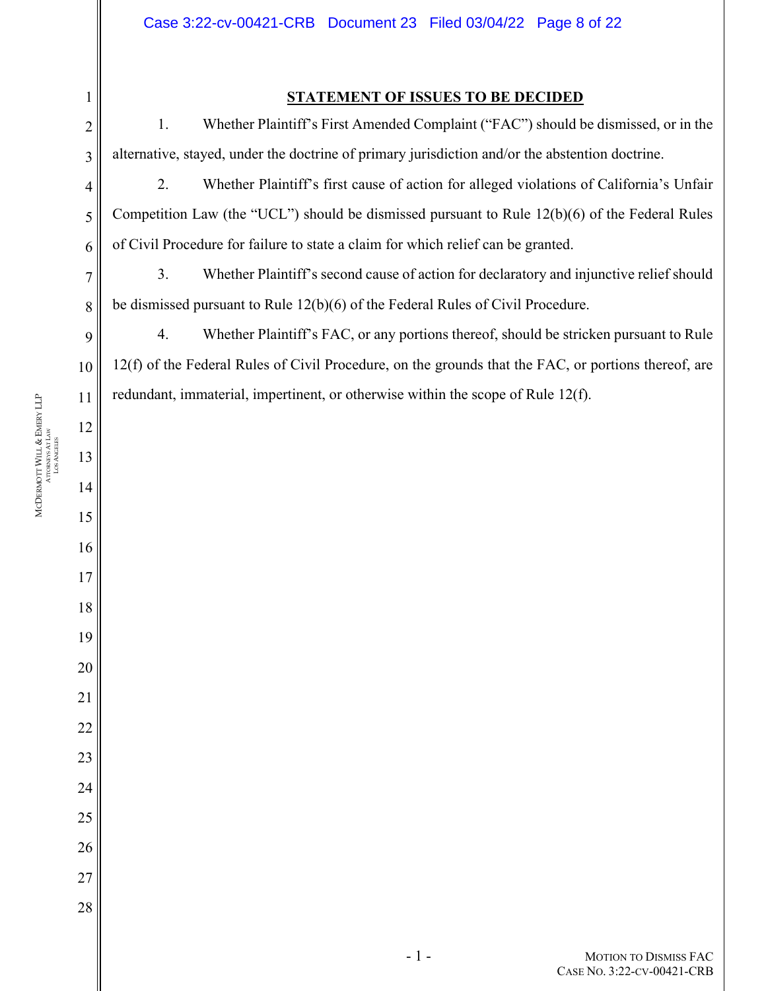### **STATEMENT OF ISSUES TO BE DECIDED**

 1. Whether Plaintiff's First Amended Complaint ("FAC") should be dismissed, or in the alternative, stayed, under the doctrine of primary jurisdiction and/or the abstention doctrine.

 2. Whether Plaintiff's first cause of action for alleged violations of California's Unfair Competition Law (the "UCL") should be dismissed pursuant to Rule 12(b)(6) of the Federal Rules of Civil Procedure for failure to state a claim for which relief can be granted.

 3. Whether Plaintiff's second cause of action for declaratory and injunctive relief should be dismissed pursuant to Rule 12(b)(6) of the Federal Rules of Civil Procedure.

 4. Whether Plaintiff's FAC, or any portions thereof, should be stricken pursuant to Rule 12(f) of the Federal Rules of Civil Procedure, on the grounds that the FAC, or portions thereof, are redundant, immaterial, impertinent, or otherwise within the scope of Rule 12(f).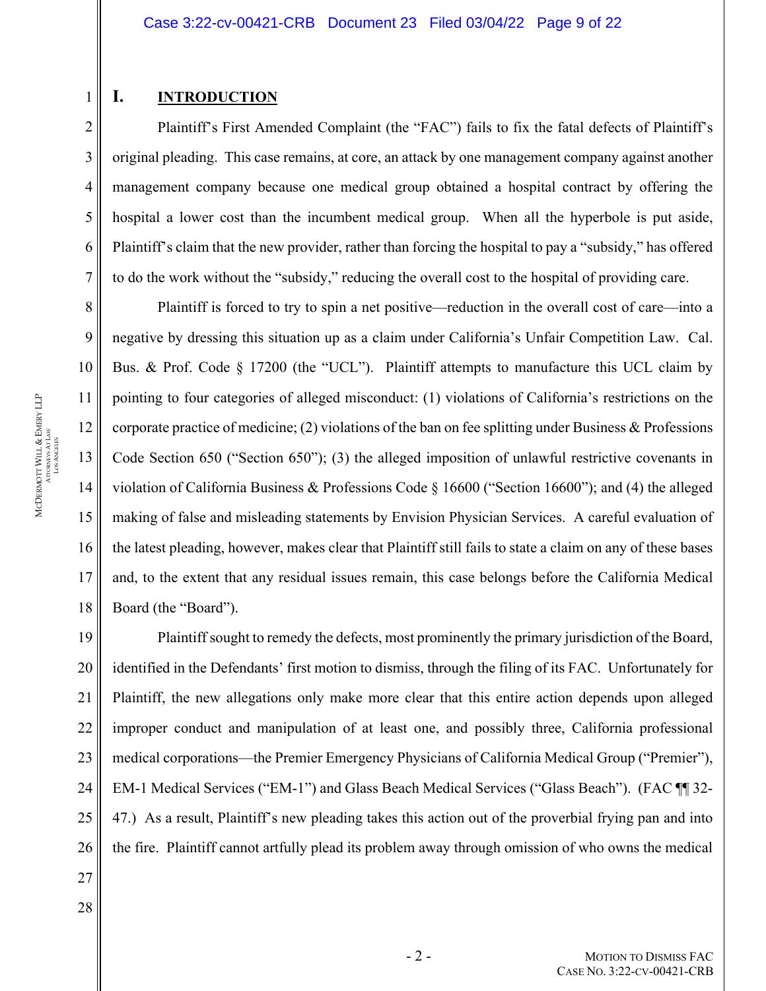### **I. INTRODUCTION**

1

2

3

4

5

6

7

8

9

10

11

12

13

14

15

16

17

18

Plaintiff's First Amended Complaint (the "FAC") fails to fix the fatal defects of Plaintiff's original pleading. This case remains, at core, an attack by one management company against another management company because one medical group obtained a hospital contract by offering the hospital a lower cost than the incumbent medical group. When all the hyperbole is put aside, Plaintiff's claim that the new provider, rather than forcing the hospital to pay a "subsidy," has offered to do the work without the "subsidy," reducing the overall cost to the hospital of providing care.

Plaintiff is forced to try to spin a net positive—reduction in the overall cost of care—into a negative by dressing this situation up as a claim under California's Unfair Competition Law. Cal. Bus. & Prof. Code § 17200 (the "UCL"). Plaintiff attempts to manufacture this UCL claim by pointing to four categories of alleged misconduct: (1) violations of California's restrictions on the corporate practice of medicine; (2) violations of the ban on fee splitting under Business  $\&$  Professions Code Section 650 ("Section 650"); (3) the alleged imposition of unlawful restrictive covenants in violation of California Business & Professions Code § 16600 ("Section 16600"); and (4) the alleged making of false and misleading statements by Envision Physician Services. A careful evaluation of the latest pleading, however, makes clear that Plaintiff still fails to state a claim on any of these bases and, to the extent that any residual issues remain, this case belongs before the California Medical Board (the "Board").

19 20 21 22 23 24 25 26 Plaintiff sought to remedy the defects, most prominently the primary jurisdiction of the Board, identified in the Defendants' first motion to dismiss, through the filing of its FAC. Unfortunately for Plaintiff, the new allegations only make more clear that this entire action depends upon alleged improper conduct and manipulation of at least one, and possibly three, California professional medical corporations—the Premier Emergency Physicians of California Medical Group ("Premier"), EM-1 Medical Services ("EM-1") and Glass Beach Medical Services ("Glass Beach"). (FAC ¶¶ 32- 47.) As a result, Plaintiff's new pleading takes this action out of the proverbial frying pan and into the fire. Plaintiff cannot artfully plead its problem away through omission of who owns the medical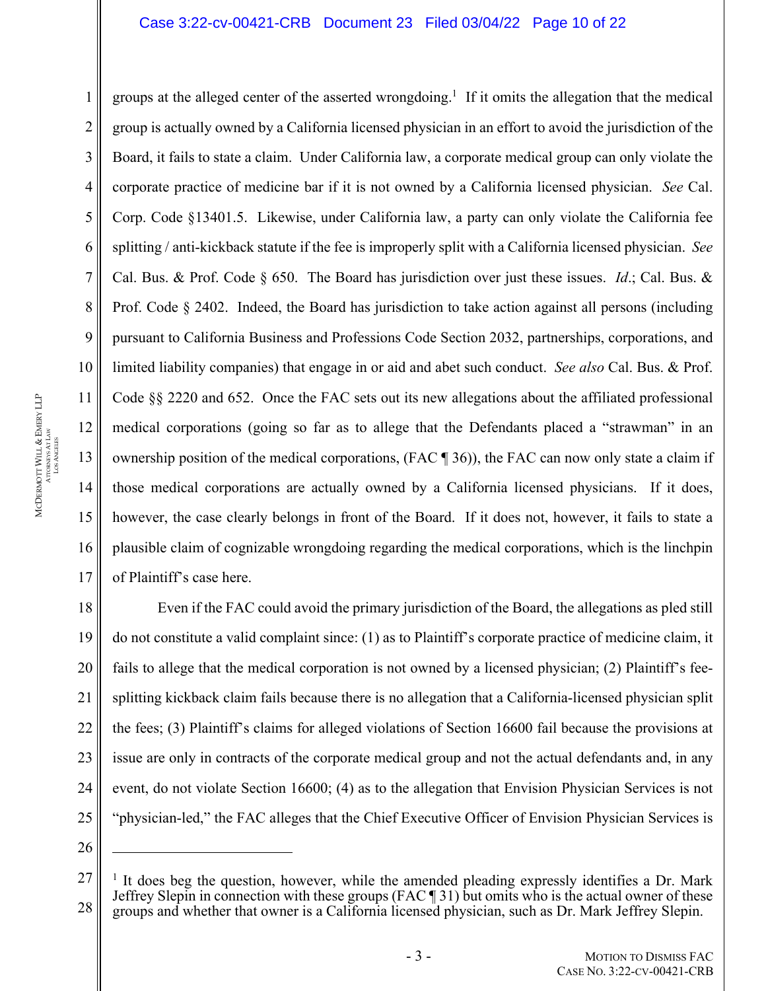#### Case 3:22-cv-00421-CRB Document 23 Filed 03/04/22 Page 10 of 22

groups at the alleged center of the asserted wrongdoing.<sup>1</sup> If it omits the allegation that the medical group is actually owned by a California licensed physician in an effort to avoid the jurisdiction of the Board, it fails to state a claim. Under California law, a corporate medical group can only violate the corporate practice of medicine bar if it is not owned by a California licensed physician. *See* Cal. Corp. Code §13401.5. Likewise, under California law, a party can only violate the California fee splitting / anti-kickback statute if the fee is improperly split with a California licensed physician. *See* Cal. Bus. & Prof. Code § 650. The Board has jurisdiction over just these issues. *Id*.; Cal. Bus. & Prof. Code § 2402. Indeed, the Board has jurisdiction to take action against all persons (including pursuant to California Business and Professions Code Section 2032, partnerships, corporations, and limited liability companies) that engage in or aid and abet such conduct. *See also* Cal. Bus. & Prof. Code §§ 2220 and 652. Once the FAC sets out its new allegations about the affiliated professional medical corporations (going so far as to allege that the Defendants placed a "strawman" in an ownership position of the medical corporations, (FAC ¶ 36)), the FAC can now only state a claim if those medical corporations are actually owned by a California licensed physicians. If it does, however, the case clearly belongs in front of the Board. If it does not, however, it fails to state a plausible claim of cognizable wrongdoing regarding the medical corporations, which is the linchpin of Plaintiff's case here.

18 25 Even if the FAC could avoid the primary jurisdiction of the Board, the allegations as pled still do not constitute a valid complaint since: (1) as to Plaintiff's corporate practice of medicine claim, it fails to allege that the medical corporation is not owned by a licensed physician; (2) Plaintiff's feesplitting kickback claim fails because there is no allegation that a California-licensed physician split the fees; (3) Plaintiff's claims for alleged violations of Section 16600 fail because the provisions at issue are only in contracts of the corporate medical group and not the actual defendants and, in any event, do not violate Section 16600; (4) as to the allegation that Envision Physician Services is not "physician-led," the FAC alleges that the Chief Executive Officer of Envision Physician Services is

26

1

2

3

4

5

6

7

8

9

10

11

12

13

14

15

16

17

19

20

21

22

23

<sup>27</sup> <sup>1</sup> It does beg the question, however, while the amended pleading expressly identifies a Dr. Mark Jeffrey Slepin in connection with these groups (FAC ¶ 31) but omits who is the actual owner of these groups and whether that owner is a California licensed physician, such as Dr. Mark Jeffrey Slepin.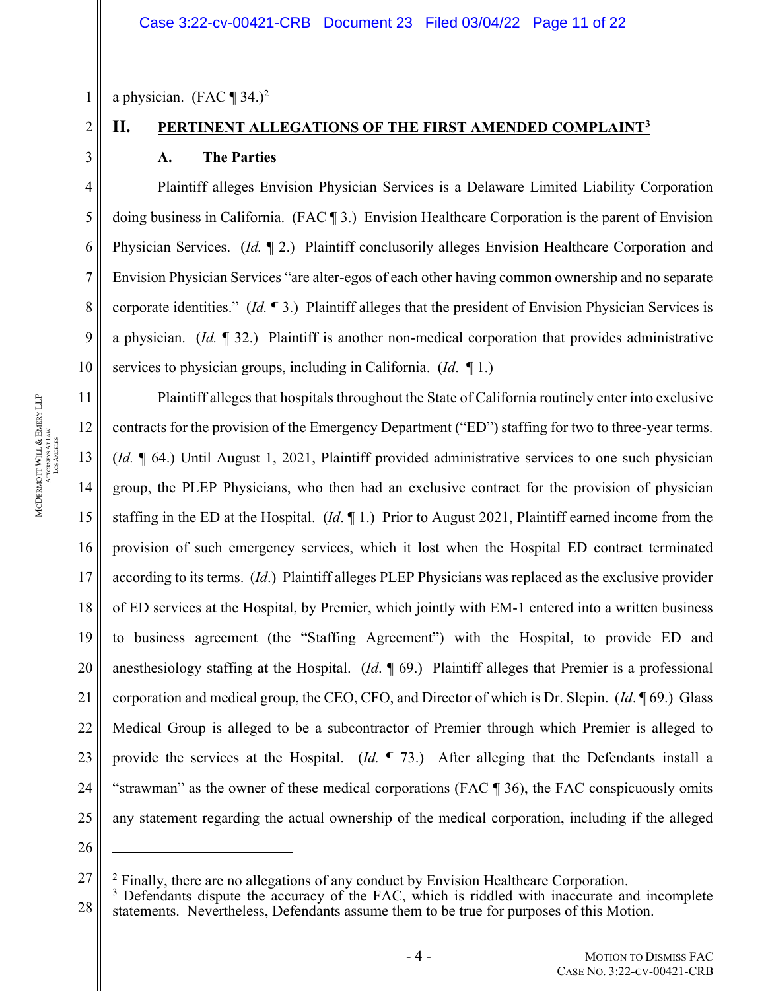a physician. (FAC  $\P$  34.)<sup>2</sup>

2

1

3

4

5

6

7

8

9

10

11

12

13

15

17

19

20

21

22

23

24

# **II. PERTINENT ALLEGATIONS OF THE FIRST AMENDED COMPLAINT3 A. The Parties**

Plaintiff alleges Envision Physician Services is a Delaware Limited Liability Corporation doing business in California. (FAC ¶ 3.) Envision Healthcare Corporation is the parent of Envision Physician Services. (*Id.* ¶ 2.) Plaintiff conclusorily alleges Envision Healthcare Corporation and Envision Physician Services "are alter-egos of each other having common ownership and no separate corporate identities." (*Id.* ¶ 3.) Plaintiff alleges that the president of Envision Physician Services is a physician. (*Id.* ¶ 32.) Plaintiff is another non-medical corporation that provides administrative services to physician groups, including in California. (*Id*. ¶ 1.)

14 16 18 Plaintiff alleges that hospitals throughout the State of California routinely enter into exclusive contracts for the provision of the Emergency Department ("ED") staffing for two to three-year terms. (*Id.* ¶ 64.) Until August 1, 2021, Plaintiff provided administrative services to one such physician group, the PLEP Physicians, who then had an exclusive contract for the provision of physician staffing in the ED at the Hospital. (*Id*. ¶ 1.) Prior to August 2021, Plaintiff earned income from the provision of such emergency services, which it lost when the Hospital ED contract terminated according to its terms. (*Id*.)Plaintiff alleges PLEP Physicians was replaced as the exclusive provider of ED services at the Hospital, by Premier, which jointly with EM-1 entered into a written business to business agreement (the "Staffing Agreement") with the Hospital, to provide ED and anesthesiology staffing at the Hospital. (*Id*. ¶ 69.) Plaintiff alleges that Premier is a professional corporation and medical group, the CEO, CFO, and Director of which is Dr. Slepin. (*Id*. ¶ 69.) Glass Medical Group is alleged to be a subcontractor of Premier through which Premier is alleged to provide the services at the Hospital. (*Id.* ¶ 73.) After alleging that the Defendants install a "strawman" as the owner of these medical corporations (FAC ¶ 36), the FAC conspicuously omits any statement regarding the actual ownership of the medical corporation, including if the alleged

<sup>25</sup> 26

 $^2$  Finally, there are no allegations of any conduct by Envision Healthcare Corporation.<br>3 Defendants dispute the accuracy of the EAC, which is riddled with inaccurate an

<sup>28</sup>  $3$  Defendants dispute the accuracy of the FAC, which is riddled with inaccurate and incomplete statements. Nevertheless, Defendants assume them to be true for purposes of this Motion.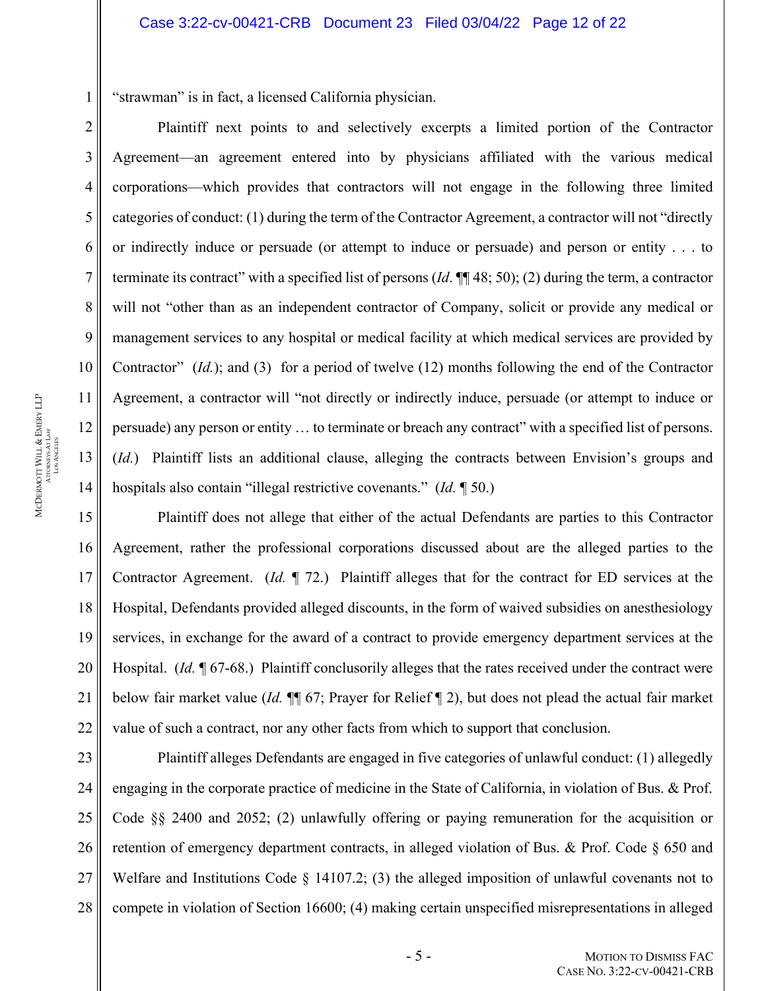"strawman" is in fact, a licensed California physician.

Plaintiff next points to and selectively excerpts a limited portion of the Contractor Agreement—an agreement entered into by physicians affiliated with the various medical corporations—which provides that contractors will not engage in the following three limited categories of conduct: (1) during the term of the Contractor Agreement, a contractor will not "directly or indirectly induce or persuade (or attempt to induce or persuade) and person or entity . . . to terminate its contract" with a specified list of persons (*Id*. ¶¶ 48; 50); (2) during the term, a contractor will not "other than as an independent contractor of Company, solicit or provide any medical or management services to any hospital or medical facility at which medical services are provided by Contractor" (*Id.*); and (3) for a period of twelve (12) months following the end of the Contractor Agreement, a contractor will "not directly or indirectly induce, persuade (or attempt to induce or persuade) any person or entity … to terminate or breach any contract" with a specified list of persons. (*Id.*) Plaintiff lists an additional clause, alleging the contracts between Envision's groups and hospitals also contain "illegal restrictive covenants." (*Id.* ¶ 50.)

Plaintiff does not allege that either of the actual Defendants are parties to this Contractor Agreement, rather the professional corporations discussed about are the alleged parties to the Contractor Agreement. (*Id.* ¶ 72.) Plaintiff alleges that for the contract for ED services at the Hospital, Defendants provided alleged discounts, in the form of waived subsidies on anesthesiology services, in exchange for the award of a contract to provide emergency department services at the Hospital. (*Id.* ¶ 67-68.) Plaintiff conclusorily alleges that the rates received under the contract were below fair market value (*Id.* ¶¶ 67; Prayer for Relief ¶ 2), but does not plead the actual fair market value of such a contract, nor any other facts from which to support that conclusion.

23 24 25 26 27 Plaintiff alleges Defendants are engaged in five categories of unlawful conduct: (1) allegedly engaging in the corporate practice of medicine in the State of California, in violation of Bus. & Prof. Code §§ 2400 and 2052; (2) unlawfully offering or paying remuneration for the acquisition or retention of emergency department contracts, in alleged violation of Bus. & Prof. Code § 650 and Welfare and Institutions Code § 14107.2; (3) the alleged imposition of unlawful covenants not to compete in violation of Section 16600; (4) making certain unspecified misrepresentations in alleged

1

2

3

4

5

6

7

8

9

10

11

12

13

14

15

16

17

18

19

20

21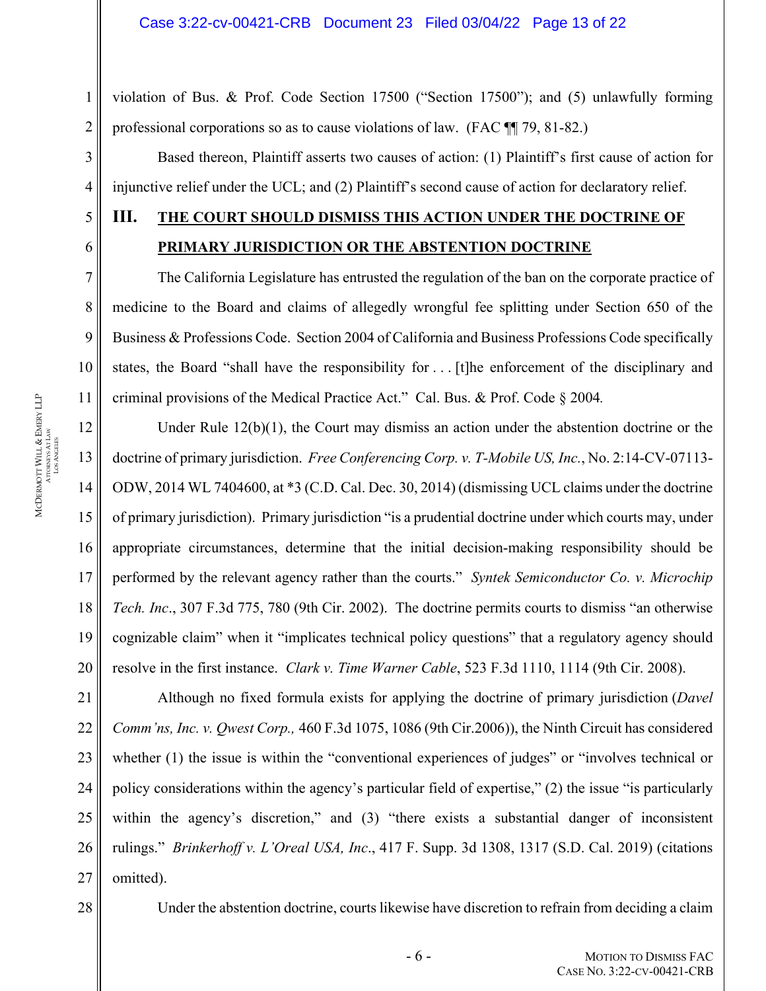violation of Bus. & Prof. Code Section 17500 ("Section 17500"); and (5) unlawfully forming professional corporations so as to cause violations of law. (FAC ¶¶ 79, 81-82.)

Based thereon, Plaintiff asserts two causes of action: (1) Plaintiff's first cause of action for injunctive relief under the UCL; and (2) Plaintiff's second cause of action for declaratory relief.

# **III. THE COURT SHOULD DISMISS THIS ACTION UNDER THE DOCTRINE OF PRIMARY JURISDICTION OR THE ABSTENTION DOCTRINE**

The California Legislature has entrusted the regulation of the ban on the corporate practice of medicine to the Board and claims of allegedly wrongful fee splitting under Section 650 of the Business & Professions Code. Section 2004 of California and Business Professions Code specifically states, the Board "shall have the responsibility for . . . [t]he enforcement of the disciplinary and criminal provisions of the Medical Practice Act." Cal. Bus. & Prof. Code § 2004*.* 

Under Rule 12(b)(1), the Court may dismiss an action under the abstention doctrine or the doctrine of primary jurisdiction. *Free Conferencing Corp. v. T-Mobile US, Inc.*, No. 2:14-CV-07113- ODW, 2014 WL 7404600, at \*3 (C.D. Cal. Dec. 30, 2014) (dismissing UCL claims under the doctrine of primary jurisdiction). Primary jurisdiction "is a prudential doctrine under which courts may, under appropriate circumstances, determine that the initial decision-making responsibility should be performed by the relevant agency rather than the courts." *Syntek Semiconductor Co. v. Microchip Tech. Inc*., 307 F.3d 775, 780 (9th Cir. 2002). The doctrine permits courts to dismiss "an otherwise cognizable claim" when it "implicates technical policy questions" that a regulatory agency should resolve in the first instance. *Clark v. Time Warner Cable*, 523 F.3d 1110, 1114 (9th Cir. 2008).

21 22 23 24 25 26 27 Although no fixed formula exists for applying the doctrine of primary jurisdiction (*Davel Comm'ns, Inc. v. Qwest Corp.,* 460 F.3d 1075, 1086 (9th Cir.2006)), the Ninth Circuit has considered whether (1) the issue is within the "conventional experiences of judges" or "involves technical or policy considerations within the agency's particular field of expertise," (2) the issue "is particularly within the agency's discretion," and (3) "there exists a substantial danger of inconsistent rulings." *Brinkerhoff v. L'Oreal USA, Inc*., 417 F. Supp. 3d 1308, 1317 (S.D. Cal. 2019) (citations omitted).

28

Under the abstention doctrine, courts likewise have discretion to refrain from deciding a claim

1

2

3

4

5

6

7

8

9

10

11

12

13

14

15

16

17

18

19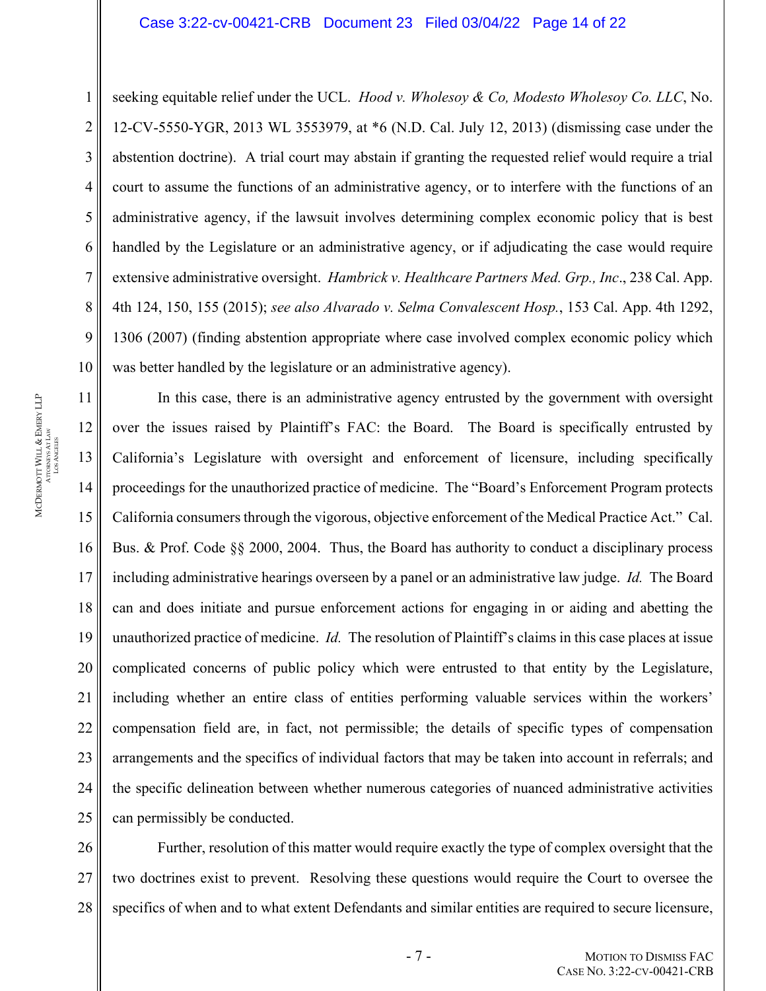#### Case 3:22-cv-00421-CRB Document 23 Filed 03/04/22 Page 14 of 22

seeking equitable relief under the UCL. *Hood v. Wholesoy & Co, Modesto Wholesoy Co. LLC*, No. 12-CV-5550-YGR, 2013 WL 3553979, at \*6 (N.D. Cal. July 12, 2013) (dismissing case under the abstention doctrine). A trial court may abstain if granting the requested relief would require a trial court to assume the functions of an administrative agency, or to interfere with the functions of an administrative agency, if the lawsuit involves determining complex economic policy that is best handled by the Legislature or an administrative agency, or if adjudicating the case would require extensive administrative oversight. *Hambrick v. Healthcare Partners Med. Grp., Inc*., 238 Cal. App. 4th 124, 150, 155 (2015); *see also Alvarado v. Selma Convalescent Hosp.*, 153 Cal. App. 4th 1292, 1306 (2007) (finding abstention appropriate where case involved complex economic policy which was better handled by the legislature or an administrative agency).

In this case, there is an administrative agency entrusted by the government with oversight over the issues raised by Plaintiff's FAC: the Board. The Board is specifically entrusted by California's Legislature with oversight and enforcement of licensure, including specifically proceedings for the unauthorized practice of medicine. The "Board's Enforcement Program protects California consumers through the vigorous, objective enforcement of the Medical Practice Act." Cal. Bus. & Prof. Code §§ 2000, 2004. Thus, the Board has authority to conduct a disciplinary process including administrative hearings overseen by a panel or an administrative law judge. *Id.* The Board can and does initiate and pursue enforcement actions for engaging in or aiding and abetting the unauthorized practice of medicine. *Id.* The resolution of Plaintiff's claims in this case places at issue complicated concerns of public policy which were entrusted to that entity by the Legislature, including whether an entire class of entities performing valuable services within the workers' compensation field are, in fact, not permissible; the details of specific types of compensation arrangements and the specifics of individual factors that may be taken into account in referrals; and the specific delineation between whether numerous categories of nuanced administrative activities can permissibly be conducted.

28 Further, resolution of this matter would require exactly the type of complex oversight that the two doctrines exist to prevent. Resolving these questions would require the Court to oversee the specifics of when and to what extent Defendants and similar entities are required to secure licensure,

1

2

3

4

5

6

7

8

9

10

11

12

13

14

15

16

17

18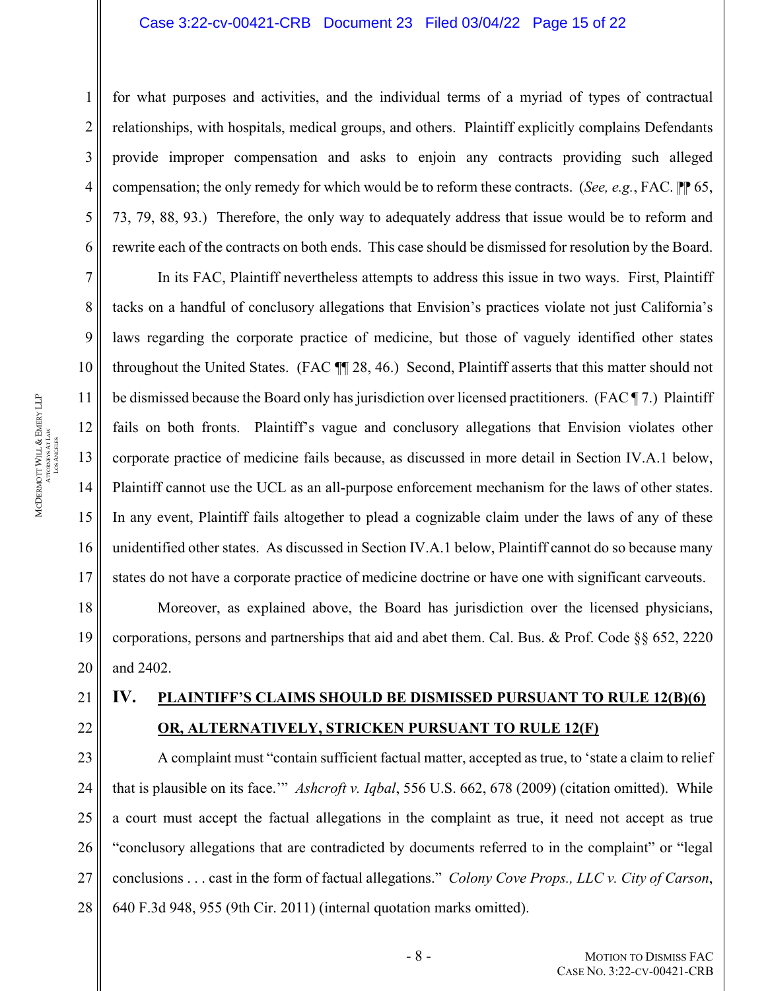#### Case 3:22-cv-00421-CRB Document 23 Filed 03/04/22 Page 15 of 22

for what purposes and activities, and the individual terms of a myriad of types of contractual relationships, with hospitals, medical groups, and others. Plaintiff explicitly complains Defendants provide improper compensation and asks to enjoin any contracts providing such alleged compensation; the only remedy for which would be to reform these contracts. (*See, e.g.*, FAC.  $\mathbb{P}[\mathbb{P}^6,$ 73, 79, 88, 93.) Therefore, the only way to adequately address that issue would be to reform and rewrite each of the contracts on both ends. This case should be dismissed for resolution by the Board.

In its FAC, Plaintiff nevertheless attempts to address this issue in two ways. First, Plaintiff tacks on a handful of conclusory allegations that Envision's practices violate not just California's laws regarding the corporate practice of medicine, but those of vaguely identified other states throughout the United States. (FAC ¶¶ 28, 46.) Second, Plaintiff asserts that this matter should not be dismissed because the Board only has jurisdiction over licensed practitioners. (FAC ¶ 7.) Plaintiff fails on both fronts. Plaintiff's vague and conclusory allegations that Envision violates other corporate practice of medicine fails because, as discussed in more detail in Section IV.A.1 below, Plaintiff cannot use the UCL as an all-purpose enforcement mechanism for the laws of other states. In any event, Plaintiff fails altogether to plead a cognizable claim under the laws of any of these unidentified other states. As discussed in Section IV.A.1 below, Plaintiff cannot do so because many states do not have a corporate practice of medicine doctrine or have one with significant carveouts.

Moreover, as explained above, the Board has jurisdiction over the licensed physicians, corporations, persons and partnerships that aid and abet them. Cal. Bus. & Prof. Code §§ 652, 2220 and 2402.

# **IV. PLAINTIFF'S CLAIMS SHOULD BE DISMISSED PURSUANT TO RULE 12(B)(6) OR, ALTERNATIVELY, STRICKEN PURSUANT TO RULE 12(F)**

A complaint must "contain sufficient factual matter, accepted as true, to 'state a claim to relief that is plausible on its face.'" *Ashcroft v. Iqbal*, 556 U.S. 662, 678 (2009) (citation omitted). While a court must accept the factual allegations in the complaint as true, it need not accept as true "conclusory allegations that are contradicted by documents referred to in the complaint" or "legal conclusions . . . cast in the form of factual allegations." *Colony Cove Props., LLC v. City of Carson*, 640 F.3d 948, 955 (9th Cir. 2011) (internal quotation marks omitted).

1

2

3

4

5

6

7

8

9

10

11

12

13

14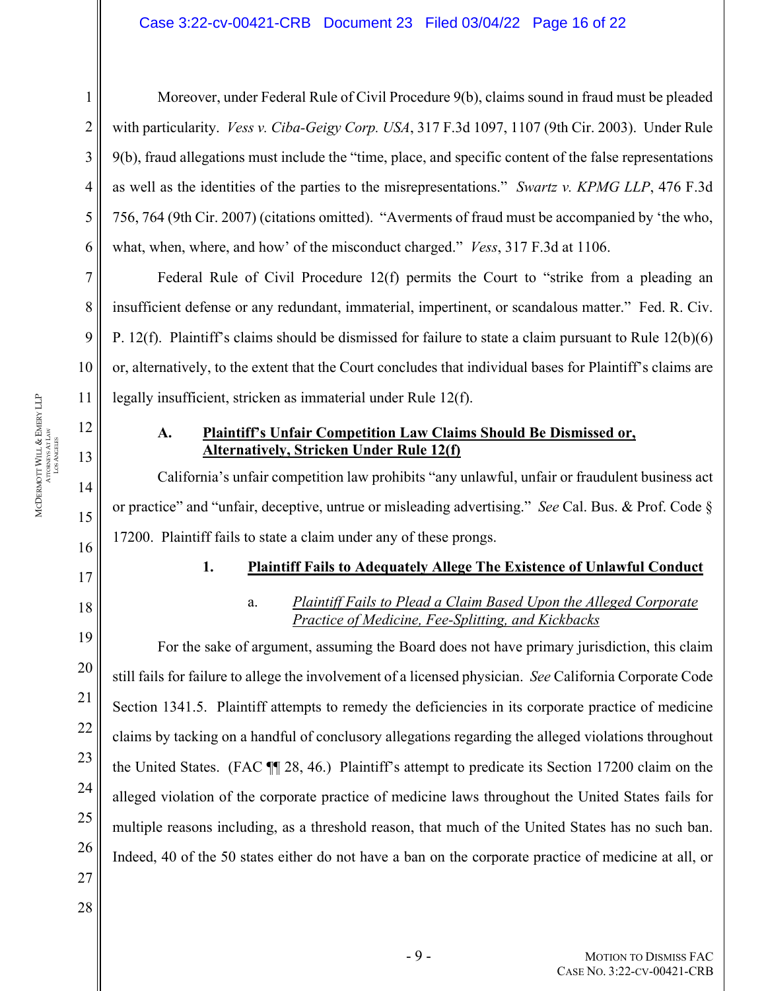#### Case 3:22-cv-00421-CRB Document 23 Filed 03/04/22 Page 16 of 22

1

2

3

4

5

6

7

8

9

16

17

18

19

20

21

22

23

24

25

26

27

MCDERMOTT

WILL &

Moreover, under Federal Rule of Civil Procedure 9(b), claims sound in fraud must be pleaded with particularity. *Vess v. Ciba-Geigy Corp. USA*, 317 F.3d 1097, 1107 (9th Cir. 2003). Under Rule 9(b), fraud allegations must include the "time, place, and specific content of the false representations as well as the identities of the parties to the misrepresentations." *Swartz v. KPMG LLP*, 476 F.3d 756, 764 (9th Cir. 2007) (citations omitted). "Averments of fraud must be accompanied by 'the who, what, when, where, and how' of the misconduct charged." *Vess*, 317 F.3d at 1106.

Federal Rule of Civil Procedure 12(f) permits the Court to "strike from a pleading an insufficient defense or any redundant, immaterial, impertinent, or scandalous matter." Fed. R. Civ. P. 12(f). Plaintiff's claims should be dismissed for failure to state a claim pursuant to Rule 12(b)(6) or, alternatively, to the extent that the Court concludes that individual bases for Plaintiff's claims are legally insufficient, stricken as immaterial under Rule 12(f).

## **A. Plaintiff's Unfair Competition Law Claims Should Be Dismissed or, Alternatively, Stricken Under Rule 12(f)**

California's unfair competition law prohibits "any unlawful, unfair or fraudulent business act or practice" and "unfair, deceptive, untrue or misleading advertising." *See* Cal. Bus. & Prof. Code § 17200. Plaintiff fails to state a claim under any of these prongs.

## **1. Plaintiff Fails to Adequately Allege The Existence of Unlawful Conduct**

a. *Plaintiff Fails to Plead a Claim Based Upon the Alleged Corporate Practice of Medicine, Fee-Splitting, and Kickbacks* 

For the sake of argument, assuming the Board does not have primary jurisdiction, this claim still fails for failure to allege the involvement of a licensed physician. *See* California Corporate Code Section 1341.5. Plaintiff attempts to remedy the deficiencies in its corporate practice of medicine claims by tacking on a handful of conclusory allegations regarding the alleged violations throughout the United States. (FAC ¶¶ 28, 46.) Plaintiff's attempt to predicate its Section 17200 claim on the alleged violation of the corporate practice of medicine laws throughout the United States fails for multiple reasons including, as a threshold reason, that much of the United States has no such ban. Indeed, 40 of the 50 states either do not have a ban on the corporate practice of medicine at all, or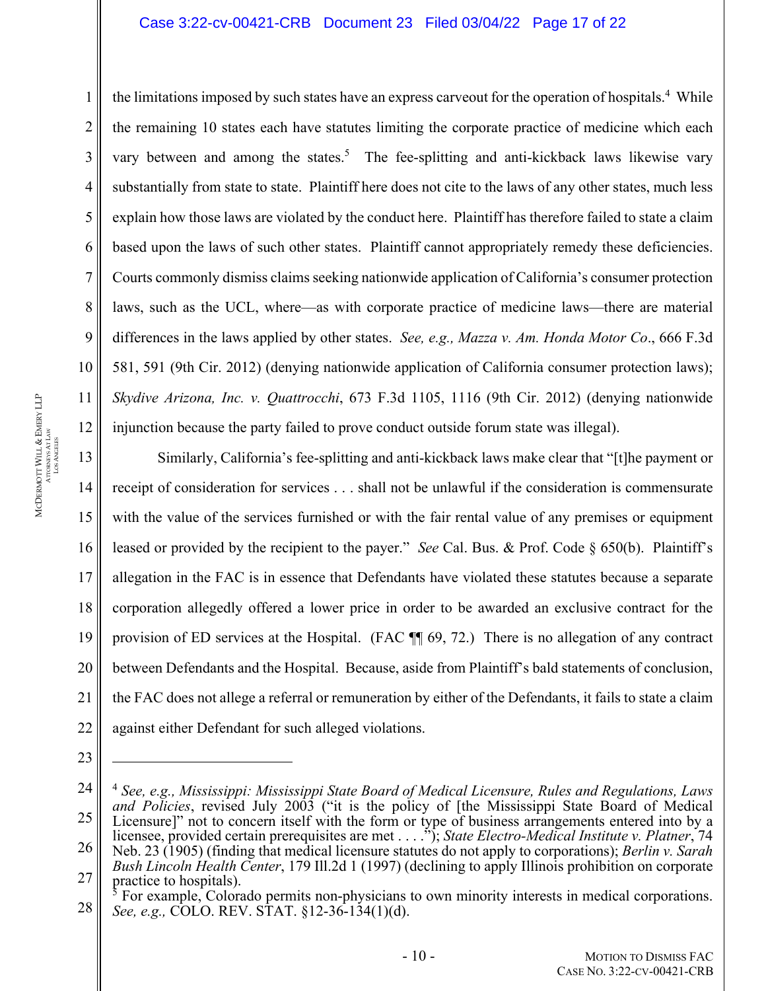#### Case 3:22-cv-00421-CRB Document 23 Filed 03/04/22 Page 17 of 22

the limitations imposed by such states have an express carveout for the operation of hospitals.<sup>4</sup> While the remaining 10 states each have statutes limiting the corporate practice of medicine which each vary between and among the states.<sup>5</sup> The fee-splitting and anti-kickback laws likewise vary substantially from state to state. Plaintiff here does not cite to the laws of any other states, much less explain how those laws are violated by the conduct here. Plaintiff has therefore failed to state a claim based upon the laws of such other states. Plaintiff cannot appropriately remedy these deficiencies. Courts commonly dismiss claims seeking nationwide application of California's consumer protection laws, such as the UCL, where—as with corporate practice of medicine laws—there are material differences in the laws applied by other states. *See, e.g., Mazza v. Am. Honda Motor Co*., 666 F.3d 581, 591 (9th Cir. 2012) (denying nationwide application of California consumer protection laws); *Skydive Arizona, Inc. v. Quattrocchi*, 673 F.3d 1105, 1116 (9th Cir. 2012) (denying nationwide injunction because the party failed to prove conduct outside forum state was illegal).

13 14 15 16 17 Similarly, California's fee-splitting and anti-kickback laws make clear that "[t]he payment or receipt of consideration for services . . . shall not be unlawful if the consideration is commensurate with the value of the services furnished or with the fair rental value of any premises or equipment leased or provided by the recipient to the payer." *See* Cal. Bus. & Prof. Code § 650(b). Plaintiff's allegation in the FAC is in essence that Defendants have violated these statutes because a separate corporation allegedly offered a lower price in order to be awarded an exclusive contract for the provision of ED services at the Hospital. (FAC ¶¶ 69, 72.) There is no allegation of any contract between Defendants and the Hospital. Because, aside from Plaintiff's bald statements of conclusion, the FAC does not allege a referral or remuneration by either of the Defendants, it fails to state a claim against either Defendant for such alleged violations.

1

2

3

4

5

6

7

8

9

10

11

<sup>24</sup> 25 26 27 <sup>4</sup> *See, e.g., Mississippi: Mississippi State Board of Medical Licensure, Rules and Regulations, Laws*  and Policies, revised July 2003 ("it is the policy of [the Mississippi State Board of Medical Licensure]" not to concern itself with the form or type of business arrangements entered into by a licensee, provided certain prerequisites are met . . . ."); *State Electro-Medical Institute v. Platner*, 74 Neb. 23 (1905) (finding that medical licensure statutes do not apply to corporations); *Berlin v. Sarah Bush Lincoln Health Center*, 179 Ill.2d 1 (1997) (declining to apply Illinois prohibition on corporate practice to hospitals).

<sup>28</sup> <sup>5</sup> For example, Colorado permits non-physicians to own minority interests in medical corporations. *See, e.g.,* COLO. REV. STAT. §12-36-134(1)(d).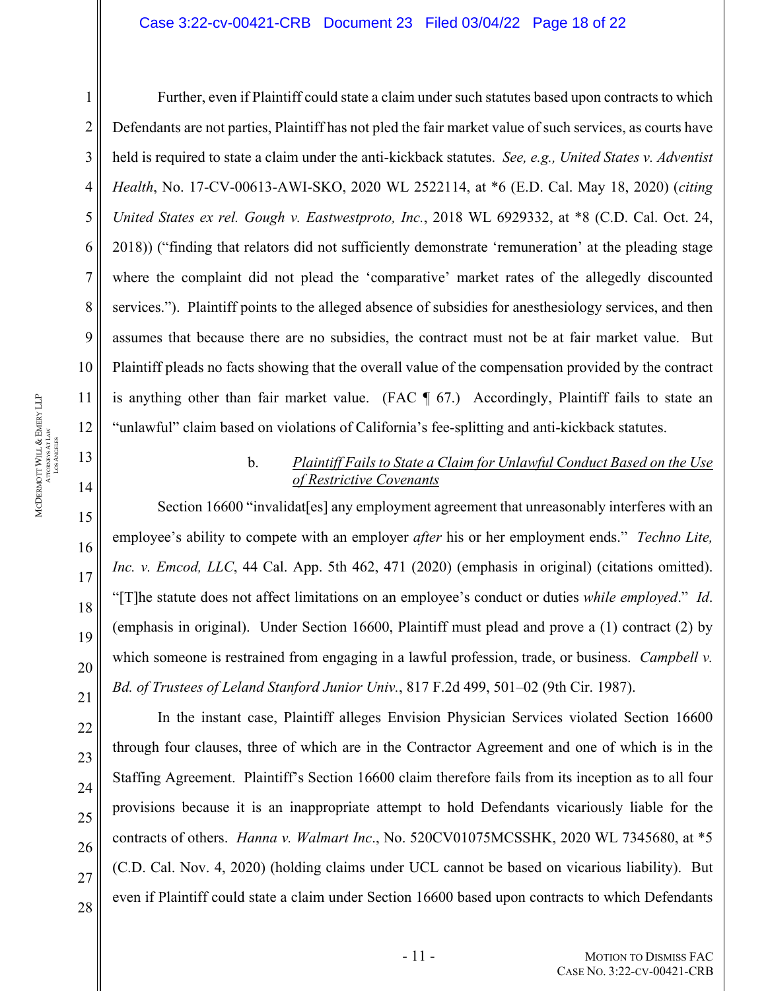#### Case 3:22-cv-00421-CRB Document 23 Filed 03/04/22 Page 18 of 22

1

2

3

4

5

6

7

8

9

10

11

12

13

14

15

16

17

18

19

20

21

22

23

24

25

26

27

28

Further, even if Plaintiff could state a claim under such statutes based upon contracts to which Defendants are not parties, Plaintiff has not pled the fair market value of such services, as courts have held is required to state a claim under the anti-kickback statutes. *See, e.g., United States v. Adventist Health*, No. 17-CV-00613-AWI-SKO, 2020 WL 2522114, at \*6 (E.D. Cal. May 18, 2020) (*citing United States ex rel. Gough v. Eastwestproto, Inc.*, 2018 WL 6929332, at \*8 (C.D. Cal. Oct. 24, 2018)) ("finding that relators did not sufficiently demonstrate 'remuneration' at the pleading stage where the complaint did not plead the 'comparative' market rates of the allegedly discounted services."). Plaintiff points to the alleged absence of subsidies for anesthesiology services, and then assumes that because there are no subsidies, the contract must not be at fair market value. But Plaintiff pleads no facts showing that the overall value of the compensation provided by the contract is anything other than fair market value. (FAC  $\parallel$  67.) Accordingly, Plaintiff fails to state an "unlawful" claim based on violations of California's fee-splitting and anti-kickback statutes.

## b. *Plaintiff Fails to State a Claim for Unlawful Conduct Based on the Use of Restrictive Covenants*

Section 16600 "invalidat[es] any employment agreement that unreasonably interferes with an employee's ability to compete with an employer *after* his or her employment ends." *Techno Lite, Inc. v. Emcod, LLC*, 44 Cal. App. 5th 462, 471 (2020) (emphasis in original) (citations omitted). "[T]he statute does not affect limitations on an employee's conduct or duties *while employed*." *Id*. (emphasis in original). Under Section 16600, Plaintiff must plead and prove a (1) contract (2) by which someone is restrained from engaging in a lawful profession, trade, or business. *Campbell v. Bd. of Trustees of Leland Stanford Junior Univ.*, 817 F.2d 499, 501–02 (9th Cir. 1987).

In the instant case, Plaintiff alleges Envision Physician Services violated Section 16600 through four clauses, three of which are in the Contractor Agreement and one of which is in the Staffing Agreement. Plaintiff's Section 16600 claim therefore fails from its inception as to all four provisions because it is an inappropriate attempt to hold Defendants vicariously liable for the contracts of others. *Hanna v. Walmart Inc*., No. 520CV01075MCSSHK, 2020 WL 7345680, at \*5 (C.D. Cal. Nov. 4, 2020) (holding claims under UCL cannot be based on vicarious liability). But even if Plaintiff could state a claim under Section 16600 based upon contracts to which Defendants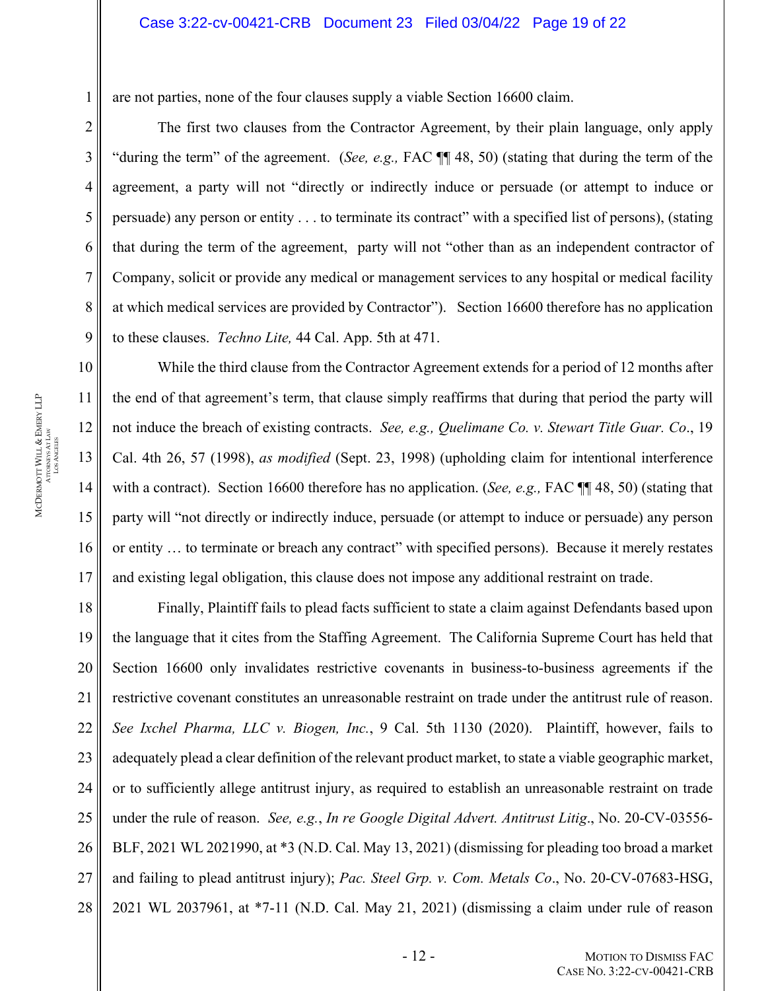are not parties, none of the four clauses supply a viable Section 16600 claim.

The first two clauses from the Contractor Agreement, by their plain language, only apply "during the term" of the agreement. (*See, e.g.,* FAC ¶¶ 48, 50) (stating that during the term of the agreement, a party will not "directly or indirectly induce or persuade (or attempt to induce or persuade) any person or entity . . . to terminate its contract" with a specified list of persons), (stating that during the term of the agreement, party will not "other than as an independent contractor of Company, solicit or provide any medical or management services to any hospital or medical facility at which medical services are provided by Contractor"). Section 16600 therefore has no application to these clauses. *Techno Lite,* 44 Cal. App. 5th at 471.

While the third clause from the Contractor Agreement extends for a period of 12 months after the end of that agreement's term, that clause simply reaffirms that during that period the party will not induce the breach of existing contracts. *See, e.g., Quelimane Co. v. Stewart Title Guar. Co*., 19 Cal. 4th 26, 57 (1998), *as modified* (Sept. 23, 1998) (upholding claim for intentional interference with a contract). Section 16600 therefore has no application. (*See, e.g.,* FAC ¶¶ 48, 50) (stating that party will "not directly or indirectly induce, persuade (or attempt to induce or persuade) any person or entity … to terminate or breach any contract" with specified persons). Because it merely restates and existing legal obligation, this clause does not impose any additional restraint on trade.

18 19 20 21 22 23 24 25 26 27 28 Finally, Plaintiff fails to plead facts sufficient to state a claim against Defendants based upon the language that it cites from the Staffing Agreement. The California Supreme Court has held that Section 16600 only invalidates restrictive covenants in business-to-business agreements if the restrictive covenant constitutes an unreasonable restraint on trade under the antitrust rule of reason. *See Ixchel Pharma, LLC v. Biogen, Inc.*, 9 Cal. 5th 1130 (2020). Plaintiff, however, fails to adequately plead a clear definition of the relevant product market, to state a viable geographic market, or to sufficiently allege antitrust injury, as required to establish an unreasonable restraint on trade under the rule of reason. *See, e.g.*, *In re Google Digital Advert. Antitrust Litig*., No. 20-CV-03556- BLF, 2021 WL 2021990, at \*3 (N.D. Cal. May 13, 2021) (dismissing for pleading too broad a market and failing to plead antitrust injury); *Pac. Steel Grp. v. Com. Metals Co*., No. 20-CV-07683-HSG, 2021 WL 2037961, at \*7-11 (N.D. Cal. May 21, 2021) (dismissing a claim under rule of reason

1

2

3

4

5

6

7

8

9

10

11

12

13

14

15

16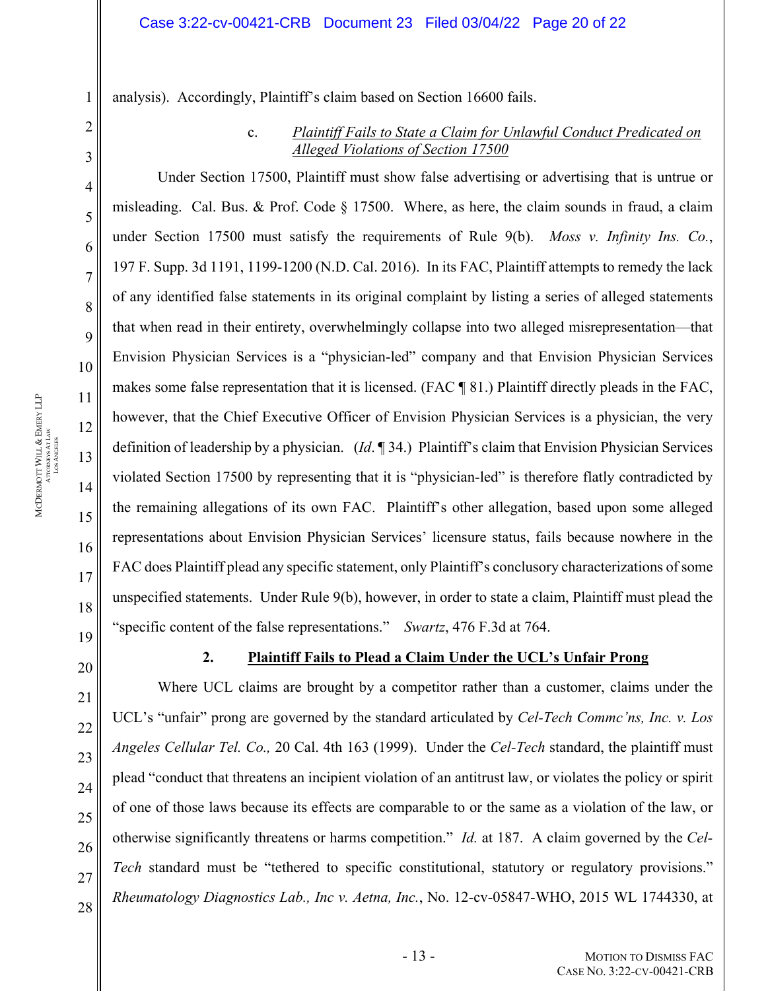analysis). Accordingly, Plaintiff's claim based on Section 16600 fails.

## c. *Plaintiff Fails to State a Claim for Unlawful Conduct Predicated on Alleged Violations of Section 17500*

Under Section 17500, Plaintiff must show false advertising or advertising that is untrue or misleading. Cal. Bus. & Prof. Code § 17500. Where, as here, the claim sounds in fraud, a claim under Section 17500 must satisfy the requirements of Rule 9(b). *Moss v. Infinity Ins. Co.*, 197 F. Supp. 3d 1191, 1199-1200 (N.D. Cal. 2016). In its FAC, Plaintiff attempts to remedy the lack of any identified false statements in its original complaint by listing a series of alleged statements that when read in their entirety, overwhelmingly collapse into two alleged misrepresentation—that Envision Physician Services is a "physician-led" company and that Envision Physician Services makes some false representation that it is licensed. (FAC ¶ 81.) Plaintiff directly pleads in the FAC, however, that the Chief Executive Officer of Envision Physician Services is a physician, the very definition of leadership by a physician. (*Id*. ¶ 34.) Plaintiff's claim that Envision Physician Services violated Section 17500 by representing that it is "physician-led" is therefore flatly contradicted by the remaining allegations of its own FAC. Plaintiff's other allegation, based upon some alleged representations about Envision Physician Services' licensure status, fails because nowhere in the FAC does Plaintiff plead any specific statement, only Plaintiff's conclusory characterizations of some unspecified statements. Under Rule 9(b), however, in order to state a claim, Plaintiff must plead the "specific content of the false representations." *Swartz*, 476 F.3d at 764.

# **2. Plaintiff Fails to Plead a Claim Under the UCL's Unfair Prong**

Where UCL claims are brought by a competitor rather than a customer, claims under the UCL's "unfair" prong are governed by the standard articulated by *Cel-Tech Commc'ns, Inc. v. Los Angeles Cellular Tel. Co.,* 20 Cal. 4th 163 (1999). Under the *Cel-Tech* standard, the plaintiff must plead "conduct that threatens an incipient violation of an antitrust law, or violates the policy or spirit of one of those laws because its effects are comparable to or the same as a violation of the law, or otherwise significantly threatens or harms competition." *Id.* at 187. A claim governed by the *Cel-Tech* standard must be "tethered to specific constitutional, statutory or regulatory provisions." *Rheumatology Diagnostics Lab., Inc v. Aetna, Inc.*, No. 12-cv-05847-WHO, 2015 WL 1744330, at

1

2

3

4

5

6

7

8

9

10

11

12

13

14

15

16

17

18

19

20

21

22

23

24

25

26

27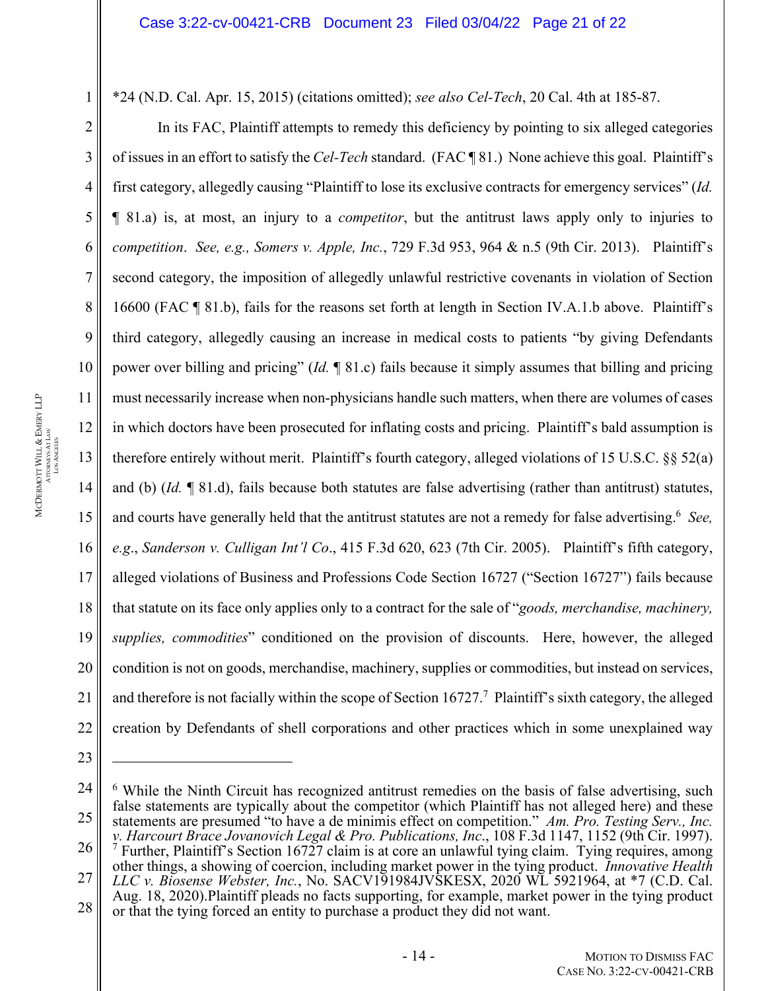\*24 (N.D. Cal. Apr. 15, 2015) (citations omitted); *see also Cel-Tech*, 20 Cal. 4th at 185-87.

In its FAC, Plaintiff attempts to remedy this deficiency by pointing to six alleged categories of issues in an effort to satisfy the *Cel-Tech* standard. (FAC ¶ 81.) None achieve this goal. Plaintiff's first category, allegedly causing "Plaintiff to lose its exclusive contracts for emergency services" (*Id.* ¶ 81.a) is, at most, an injury to a *competitor*, but the antitrust laws apply only to injuries to *competition*. *See, e.g., Somers v. Apple, Inc.*, 729 F.3d 953, 964 & n.5 (9th Cir. 2013). Plaintiff's second category, the imposition of allegedly unlawful restrictive covenants in violation of Section 16600 (FAC ¶ 81.b), fails for the reasons set forth at length in Section IV.A.1.b above. Plaintiff's third category, allegedly causing an increase in medical costs to patients "by giving Defendants power over billing and pricing" (*Id.* ¶ 81.c) fails because it simply assumes that billing and pricing must necessarily increase when non-physicians handle such matters, when there are volumes of cases in which doctors have been prosecuted for inflating costs and pricing. Plaintiff's bald assumption is therefore entirely without merit. Plaintiff's fourth category, alleged violations of 15 U.S.C. §§ 52(a) and (b) (*Id.* ¶ 81.d), fails because both statutes are false advertising (rather than antitrust) statutes, and courts have generally held that the antitrust statutes are not a remedy for false advertising.<sup>6</sup> See, *e.g*., *Sanderson v. Culligan Int'l Co*., 415 F.3d 620, 623 (7th Cir. 2005). Plaintiff's fifth category, alleged violations of Business and Professions Code Section 16727 ("Section 16727") fails because that statute on its face only applies only to a contract for the sale of "*goods, merchandise, machinery, supplies, commodities*" conditioned on the provision of discounts. Here, however, the alleged condition is not on goods, merchandise, machinery, supplies or commodities, but instead on services, and therefore is not facially within the scope of Section  $16727$ .<sup>7</sup> Plaintiff's sixth category, the alleged creation by Defendants of shell corporations and other practices which in some unexplained way

1

2

3

4

5

6

7

8

9

10

11

12

13

14

15

16

17

18

19

20

21

22

<sup>24</sup> 25 26 27 28 <sup>6</sup> While the Ninth Circuit has recognized antitrust remedies on the basis of false advertising, such false statements are typically about the competitor (which Plaintiff has not alleged here) and these statements are presumed "to have a de minimis effect on competition." *Am. Pro. Testing Serv., Inc. v. Harcourt Brace Jovanovich Legal & Pro. Publications, Inc*., 108 F.3d 1147, 1152 (9th Cir. 1997). 7 <sup>7</sup> Further, Plaintiff's Section 16727 claim is at core an unlawful tying claim. Tying requires, among other things, a showing of coercion, including market power in the tying product. *Innovative Health LLC v. Biosense Webster, Inc.*, No. SACV191984JVSKESX, 2020 WL 5921964, at \*7 (C.D. Cal. Aug. 18, 2020).Plaintiff pleads no facts supporting, for example, market power in the tying product or that the tying forced an entity to purchase a product they did not want.